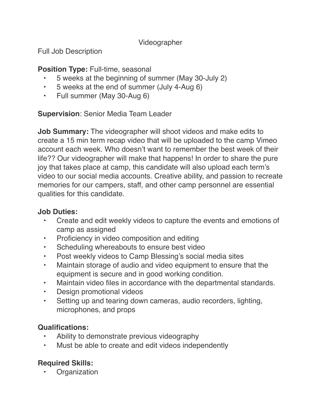#### Videographer

Full Job Description

### **Position Type:** Full-time, seasonal

- 5 weeks at the beginning of summer (May 30-July 2)
- 5 weeks at the end of summer (July 4-Aug 6)
- Full summer (May 30-Aug 6)

### **Supervision**: Senior Media Team Leader

**Job Summary:** The videographer will shoot videos and make edits to create a 15 min term recap video that will be uploaded to the camp Vimeo account each week. Who doesn't want to remember the best week of their life?? Our videographer will make that happens! In order to share the pure joy that takes place at camp, this candidate will also upload each term's video to our social media accounts. Creative ability, and passion to recreate memories for our campers, staff, and other camp personnel are essential qualities for this candidate.

### **Job Duties:**

- Create and edit weekly videos to capture the events and emotions of camp as assigned
- Proficiency in video composition and editing
- Scheduling whereabouts to ensure best video
- Post weekly videos to Camp Blessing's social media sites
- Maintain storage of audio and video equipment to ensure that the equipment is secure and in good working condition.
- Maintain video files in accordance with the departmental standards.
- Design promotional videos
- Setting up and tearing down cameras, audio recorders, lighting, microphones, and props

# **Qualifications:**

- Ability to demonstrate previous videography
- Must be able to create and edit videos independently

# **Required Skills:**

**Organization**